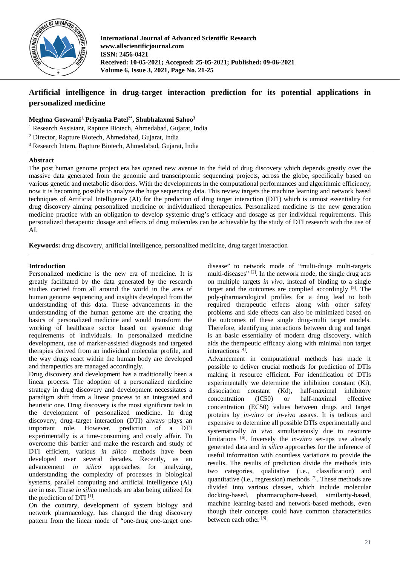

**International Journal of Advanced Scientific Research www.allscientificjournal.com ISSN: 2456-0421 Received: 10-05-2021; Accepted: 25-05-2021; Published: 09-06-2021 Volume 6, Issue 3, 2021, Page No. 21-25**

# **Artificial intelligence in drug-target interaction prediction for its potential applications in personalized medicine**

# **Meghna Goswami1, Priyanka Patel2\*, Shubhalaxmi Sahoo3**

<sup>1</sup> Research Assistant, Rapture Biotech, Ahmedabad, Gujarat, India

<sup>2</sup> Director, Rapture Biotech, Ahmedabad, Gujarat, India

<sup>3</sup> Research Intern, Rapture Biotech, Ahmedabad, Gujarat, India

### **Abstract**

The post human genome project era has opened new avenue in the field of drug discovery which depends greatly over the massive data generated from the genomic and transcriptomic sequencing projects, across the globe, specifically based on various genetic and metabolic disorders. With the developments in the computational performances and algorithmic efficiency, now it is becoming possible to analyze the huge sequencing data. This review targets the machine learning and network based techniques of Artificial Intelligence (AI) for the prediction of drug target interaction (DTI) which is utmost essentiality for drug discovery aiming personalized medicine or individualized therapeutics. Personalized medicine is the new generation medicine practice with an obligation to develop systemic drug's efficacy and dosage as per individual requirements. This personalized therapeutic dosage and effects of drug molecules can be achievable by the study of DTI research with the use of AI.

**Keywords:** drug discovery, artificial intelligence, personalized medicine, drug target interaction

# **Introduction**

Personalized medicine is the new era of medicine. It is greatly facilitated by the data generated by the research studies carried from all around the world in the area of human genome sequencing and insights developed from the understanding of this data. These advancements in the understanding of the human genome are the creating the basics of personalized medicine and would transform the working of healthcare sector based on systemic drug requirements of individuals. In personalized medicine development, use of marker-assisted diagnosis and targeted therapies derived from an individual molecular profile, and the way drugs react within the human body are developed and therapeutics are managed accordingly.

Drug discovery and development has a traditionally been a linear process. The adoption of a personalized medicine strategy in drug discovery and development necessitates a paradigm shift from a linear process to an integrated and heuristic one. Drug discovery is the most significant task in the development of personalized medicine. In drug discovery, drug–target interaction (DTI) always plays an important role. However, prediction of a DTI experimentally is a time-consuming and costly affair. To overcome this barrier and make the research and study of DTI efficient, various *in silico* methods have been developed over several decades. Recently, as an advancement *in silico* approaches for analyzing, understanding the complexity of processes in biological systems, parallel computing and artificial intelligence (AI) are in use. These *in silico* methods are also being utilized for the prediction of DTI [1].

On the contrary, development of system biology and network pharmacology, has changed the drug discovery pattern from the linear mode of "one-drug one-target one-

disease" to network mode of "multi-drugs multi-targets multi-diseases" [2]. In the network mode, the single drug acts on multiple targets *in vivo,* instead of binding to a single target and the outcomes are complied accordingly  $[3]$ . The poly-pharmacological profiles for a drug lead to both required therapeutic effects along with other safety problems and side effects can also be minimized based on the outcomes of these single drug-multi target models. Therefore, identifying interactions between drug and target is an basic essentiality of modern drug discovery, which aids the therapeutic efficacy along with minimal non target interactions [4].

Advancement in computational methods has made it possible to deliver crucial methods for prediction of DTIs making it resource efficient. For identification of DTIs experimentally we determine the inhibition constant (Ki), dissociation constant (Kd), half-maximal inhibitory concentration (IC50) or half-maximal effective concentration (EC50) values between drugs and target proteins by *in-vitro* or *in-vivo* assays. It is tedious and expensive to determine all possible DTIs experimentally and systematically *in vivo* simultaneously due to resource limitations <sup>[6]</sup>. Inversely the *in-vitro* set-ups use already generated data and *in silico* approaches for the inference of useful information with countless variations to provide the results. The results of prediction divide the methods into two categories, qualitative (i.e., classification) and quantitative (i.e., regression) methods  $[7]$ . These methods are divided into various classes, which include molecular docking-based, pharmacophore-based, similarity-based, machine learning-based and network-based methods, even though their concepts could have common characteristics between each other<sup>[8]</sup>.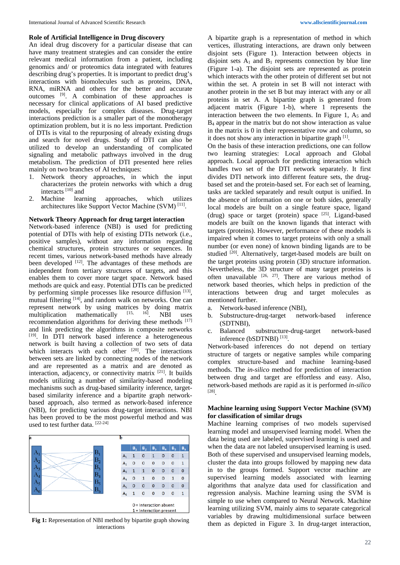#### **Role of Artificial Intelligence in Drug discovery**

An ideal drug discovery for a particular disease that can have many treatment strategies and can consider the entire relevant medical information from a patient, including genomics and/ or proteomics data integrated with features describing drug's properties. It is important to predict drug's interactions with biomolecules such as proteins, DNA, RNA, miRNA and others for the better and accurate outcomes [9]. A combination of these approaches is necessary for clinical applications of AI based predictive models, especially for complex diseases. Drug-target interactions prediction is a smaller part of the monotherapy optimization problem, but it is no less important. Prediction of DTIs is vital to the repurposing of already existing drugs and search for novel drugs. Study of DTI can also be utilized to develop an understanding of complicated signaling and metabolic pathways involved in the drug metabolism. The prediction of DTI presented here relies mainly on two branches of AI techniques:

- 1. Network theory approaches, in which the input characterizes the protein networks with which a drug interacts [10] and<br>Machine learning
- 2. Machine learning approaches, which utilizes architectures like Support Vector Machine (SVM) [11].

### **Network Theory Approach for drug target interaction**

Network-based inference (NBI) is used for predicting potential of DTIs with help of existing DTIs network (i.e., positive samples), without any information regarding chemical structures, protein structures or sequences. In recent times, various network-based methods have already been developed  $[12]$ . The advantages of these methods are independent from tertiary structures of targets, and this enables them to cover more target space. Network based methods are quick and easy. Potential DTIs can be predicted by performing simple processes like resource diffusion [13], mutual filtering  $[14]$ , and random walk on networks. One can represent network by using matrices by doing matrix<br>multiplication mathematically  $^{[15, 16]}$  NBI uses multiplication mathematically  $[15, 16]$ . NBI uses recommendation algorithms for deriving these methods  $[17]$ and link predicting the algorithms in composite networks [19]. In DTI network based inference a heterogeneous network is built having a collection of two sets of data which interacts with each other  $[20]$ . The interactions between sets are linked by connecting nodes of the network and are represented as a matrix and are denoted as interaction, adjacency, or connectivity matrix [21]. It builds models utilizing a number of similarity-based modeling mechanisms such as drug-based similarity inference, targetbased similarity inference and a bipartite graph networkbased approach, also termed as network-based inference (NBI), for predicting various drug-target interactions. NBI has been proved to be the most powerful method and was used to test further data. [22-24]



interactions

interactions between drug and target molecules as mentioned further.

- a. Network-based inference (NBI),
- b. Substructure-drug-target network-based inference (SDTNBI),
- c. Balanced substructure-drug-target network-based inference (bSDTNBI) [13].

Network-based inferences do not depend on tertiary structure of targets or negative samples while comparing complex structure-based and machine learning-based methods. The *in-silico* method for prediction of interaction between drug and target are effortless and easy. Also, network-based methods are rapid as it is performed *in-silico*  [28].

## **Machine learning using Support Vector Machine (SVM) for classification of similar drugs**

Machine learning comprises of two models supervised learning model and unsupervised learning model. When the data being used are labeled, supervised learning is used and when the data are not labeled unsupervised learning is used. Both of these supervised and unsupervised learning models, cluster the data into groups followed by mapping new data in to the groups formed. Support vector machine are supervised learning models associated with learning algorithms that analyze data used for classification and regression analysis. Machine learning using the SVM is simple to use when compared to Neural Network. Machine learning utilizing SVM, mainly aims to separate categorical variables by drawing multidimensional surface between them as depicted in Figure 3. In drug-target interaction,

A bipartite graph is a representation of method in which vertices, illustrating interactions, are drawn only between disjoint sets (Figure 1). Interaction between objects in disjoint sets  $A_1$  and  $B_1$  represents connection by blue line (Figure 1-a). The disjoint sets are represented as protein which interacts with the other protein of different set but not within the set. A protein in set B will not interact with another protein in the set B but may interact with any or all proteins in set A. A bipartite graph is generated from adjacent matrix (Figure 1-b), where 1 represents the interaction between the two elements. In Figure 1,  $A_5$  and B<sub>4</sub> appear in the matrix but do not show interaction as value in the matrix is 0 in their representative row and column, so

it does not show any interaction in bipartite graph [1]. On the basis of these interaction predictions, one can follow two learning strategies: Local approach and Global approach. Local approach for predicting interaction which handles two set of the DTI network separately. It first divides DTI network into different feature sets, the drugbased set and the protein-based set. For each set of learning, tasks are tackled separately and result output is unified. In the absence of information on one or both sides, generally local models are built on a single feature space, ligand (drug) space or target (protein) space  $[25]$ . Ligand-based models are built on the known ligands that interact with targets (proteins). However, performance of these models is impaired when it comes to target proteins with only a small number (or even none) of known binding ligands are to be studied <sup>[20]</sup>. Alternatively, target-based models are built on the target proteins using protein (3D) structure information. Nevertheless, the 3D structure of many target proteins is often unavailable  $[26, 27]$ . There are various method of network based theories, which helps in prediction of the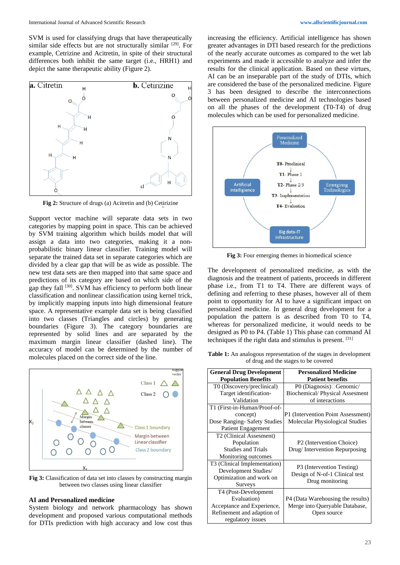SVM is used for classifying drugs that have therapeutically similar side effects but are not structurally similar [29]. For example, Cetrizine and Acitretin, in spite of their structural differences both inhibit the same target (i.e., HRH1) and depict the same therapeutic ability (Figure 2).



**Fig 2:** Structure of drugs (a) Acitretin and (b) Cetirizine

Support vector machine will separate data sets in two categories by mapping point in space. This can be achieved by SVM training algorithm which builds model that will assign a data into two categories, making it a nonprobabilistic binary linear classifier. Training model will separate the trained data set in separate categories which are divided by a clear gap that will be as wide as possible. The new test data sets are then mapped into that same space and predictions of its category are based on which side of the gap they fall [30]. SVM has efficiency to perform both linear classification and nonlinear classification using kernel trick, by implicitly mapping inputs into high dimensional feature space. A representative example data set is being classified into two classes (Triangles and circles) by generating boundaries (Figure 3). The category boundaries are represented by solid lines and are separated by the maximum margin linear classifier (dashed line). The accuracy of model can be determined by the number of molecules placed on the correct side of the line.



**Fig 3:** Classification of data set into classes by constructing margin between two classes using linear classifier

#### **AI and Personalized medicine**

System biology and network pharmacology has shown development and proposed various computational methods for DTIs prediction with high accuracy and low cost thus

increasing the efficiency. Artificial intelligence has shown greater advantages in DTI based research for the predictions of the nearly accurate outcomes as compared to the wet lab experiments and made it accessible to analyze and infer the results for the clinical application. Based on these virtues, AI can be an inseparable part of the study of DTIs, which are considered the base of the personalized medicine. Figure 3 has been designed to describe the interconnections between personalized medicine and AI technologies based on all the phases of the development (T0-T4) of drug molecules which can be used for personalized medicine.



**Fig 3:** Four emerging themes in biomedical science

The development of personalized medicine, as with the diagnosis and the treatment of patients, proceeds in different phase i.e., from T1 to T4. There are different ways of defining and referring to these phases, however all of them point to opportunity for AI to have a significant impact on personalized medicine. In general drug development for a population the pattern is as described from T0 to T4, whereas for personalized medicine, it would needs to be designed as P0 to P4. (Table 1) This phase can command AI techniques if the right data and stimulus is present. [31]

**Table 1:** An analogous representation of the stages in development of drug and the stages to be covered

| <b>General Drug Development</b> | <b>Personalized Medicine</b>          |
|---------------------------------|---------------------------------------|
| <b>Population Benefits</b>      | <b>Patient benefits</b>               |
| T0 (Discovery/preclinical)      | P0 (Diagnosis)□ Genomic/              |
| Target identification-          | <b>Biochemical/Physical Assesment</b> |
| Validation                      | of interactions                       |
| T1 (First-in-Human/Proof-of-    |                                       |
| concept)                        | P1 (Intervention Point Assessment)    |
| Dose Ranging- Safety Studies    | Molecular Physiological Studies       |
| <b>Patient Engagement</b>       |                                       |
| T2 (Clinical Assesment)         |                                       |
| Population                      | P <sub>2</sub> (Intervention Choice)  |
| <b>Studies and Trials</b>       | Drug/Intervention Repurposing         |
| Monitoring outcomes             |                                       |
| T3 (Clinical Implementation)    |                                       |
| Development Studies/            | P3 (Intervention Testing)             |
| Optimization and work on        | Design of N-of-1 Clinical test        |
| <b>Surveys</b>                  | Drug monitoring                       |
| T4 (Post-Development            |                                       |
| Evaluation)                     | P4 (Data Warehousing the results)     |
| Acceptance and Experience,      | Merge into Queryable Database,        |
| Refinement and adaption of      | Open source                           |
| regulatory issues               |                                       |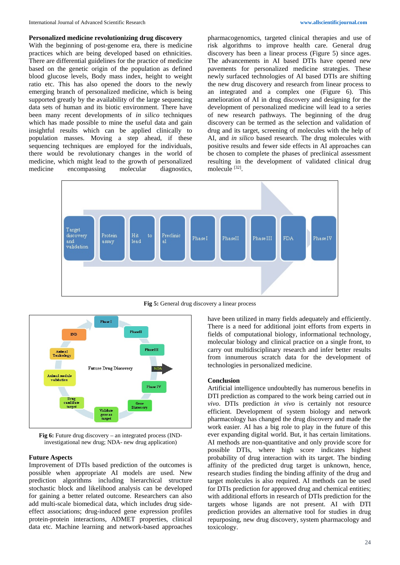#### **Personalized medicine revolutionizing drug discovery**

With the beginning of post-genome era, there is medicine practices which are being developed based on ethnicities. There are differential guidelines for the practice of medicine based on the genetic origin of the population as defined blood glucose levels, Body mass index, height to weight ratio etc. This has also opened the doors to the newly emerging branch of personalized medicine, which is being supported greatly by the availability of the large sequencing data sets of human and its biotic environment. There have been many recent developments of *in silico* techniques which has made possible to mine the useful data and gain insightful results which can be applied clinically to population masses. Moving a step ahead, if these sequencing techniques are employed for the individuals, there would be revolutionary changes in the world of medicine, which might lead to the growth of personalized medicine encompassing molecular diagnostics,

pharmacogenomics, targeted clinical therapies and use of risk algorithms to improve health care. General drug discovery has been a linear process (Figure 5) since ages. The advancements in AI based DTIs have opened new pavements for personalized medicine strategies. These newly surfaced technologies of AI based DTIs are shifting the new drug discovery and research from linear process to an integrated and a complex one (Figure 6). This amelioration of AI in drug discovery and designing for the development of personalized medicine will lead to a series of new research pathways. The beginning of the drug discovery can be termed as the selection and validation of drug and its target, screening of molecules with the help of AI, and *in silico* based research. The drug molecules with positive results and fewer side effects in AI approaches can be chosen to complete the phases of preclinical assessment resulting in the development of validated clinical drug molecule [32].



**Fig 5:** General drug discovery a linear process



**Fig 6:** Future drug discovery – an integrated process (INDinvestigational new drug; NDA- new drug application)

### **Future Aspects**

Improvement of DTIs based prediction of the outcomes is possible when appropriate AI models are used. New prediction algorithms including hierarchical structure stochastic block and likelihood analysis can be developed for gaining a better related outcome. Researchers can also add multi-scale biomedical data, which includes drug sideeffect associations; drug-induced gene expression profiles protein-protein interactions, ADMET properties, clinical data etc. Machine learning and network-based approaches

have been utilized in many fields adequately and efficiently. There is a need for additional joint efforts from experts in fields of computational biology, informational technology, molecular biology and clinical practice on a single front, to carry out multidisciplinary research and infer better results from innumerous scratch data for the development of technologies in personalized medicine.

#### **Conclusion**

Artificial intelligence undoubtedly has numerous benefits in DTI prediction as compared to the work being carried out *in vivo*. DTIs prediction *in vivo* is certainly not resource efficient. Development of system biology and network pharmacology has changed the drug discovery and made the work easier. AI has a big role to play in the future of this ever expanding digital world. But, it has certain limitations. AI methods are non-quantitative and only provide score for possible DTIs, where high score indicates highest probability of drug interaction with its target. The binding affinity of the predicted drug target is unknown, hence, research studies finding the binding affinity of the drug and target molecules is also required. AI methods can be used for DTIs prediction for approved drug and chemical entities; with additional efforts in research of DTIs prediction for the targets whose ligands are not present. AI with DTI prediction provides an alternative tool for studies in drug repurposing, new drug discovery, system pharmacology and toxicology.